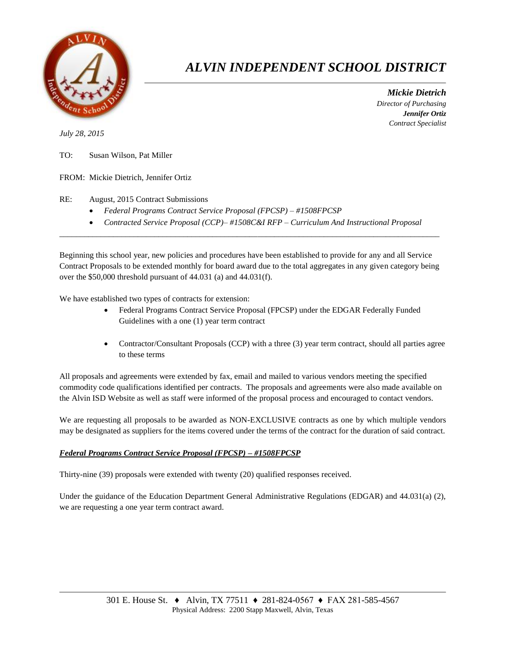

## *ALVIN INDEPENDENT SCHOOL DISTRICT*

 *Mickie Dietrich Director of Purchasing Jennifer Ortiz Contract Specialist*

*July 28, 2015*

- TO: Susan Wilson, Pat Miller
- FROM: Mickie Dietrich, Jennifer Ortiz

RE: August, 2015 Contract Submissions

- *Federal Programs Contract Service Proposal (FPCSP) – #1508FPCSP*
- *Contracted Service Proposal (CCP)– #1508C&I RFP – Curriculum And Instructional Proposal*

Beginning this school year, new policies and procedures have been established to provide for any and all Service Contract Proposals to be extended monthly for board award due to the total aggregates in any given category being over the \$50,000 threshold pursuant of 44.031 (a) and 44.031(f).

 $\overline{a}$  , and the contribution of the contribution of the contribution of the contribution of the contribution of the contribution of the contribution of the contribution of the contribution of the contribution of the co

We have established two types of contracts for extension:

- Federal Programs Contract Service Proposal (FPCSP) under the EDGAR Federally Funded Guidelines with a one (1) year term contract
- Contractor/Consultant Proposals (CCP) with a three (3) year term contract, should all parties agree to these terms

All proposals and agreements were extended by fax, email and mailed to various vendors meeting the specified commodity code qualifications identified per contracts. The proposals and agreements were also made available on the Alvin ISD Website as well as staff were informed of the proposal process and encouraged to contact vendors.

We are requesting all proposals to be awarded as NON-EXCLUSIVE contracts as one by which multiple vendors may be designated as suppliers for the items covered under the terms of the contract for the duration of said contract.

## *Federal Programs Contract Service Proposal (FPCSP) – #1508FPCSP*

Thirty-nine (39) proposals were extended with twenty (20) qualified responses received.

Under the guidance of the Education Department General Administrative Regulations (EDGAR) and 44.031(a) (2), we are requesting a one year term contract award.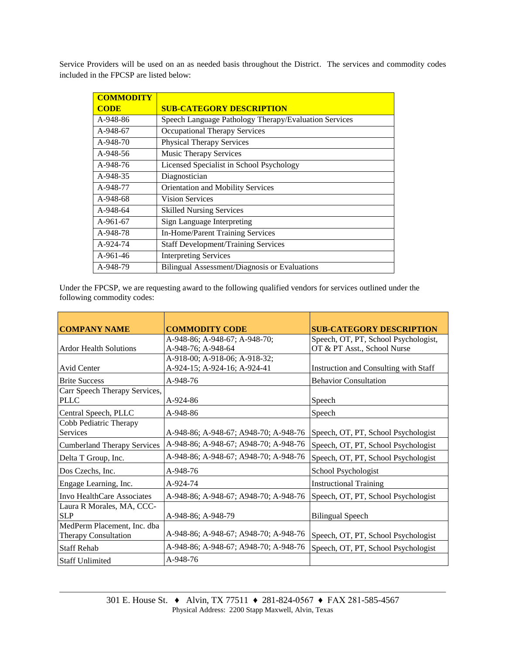Service Providers will be used on an as needed basis throughout the District. The services and commodity codes included in the FPCSP are listed below:

| <b>COMMODITY</b> |                                                       |
|------------------|-------------------------------------------------------|
| <b>CODE</b>      | <b>SUB-CATEGORY DESCRIPTION</b>                       |
| A-948-86         | Speech Language Pathology Therapy/Evaluation Services |
| A-948-67         | Occupational Therapy Services                         |
| A-948-70         | <b>Physical Therapy Services</b>                      |
| $A-948-56$       | <b>Music Therapy Services</b>                         |
| A-948-76         | Licensed Specialist in School Psychology              |
| A-948-35         | Diagnostician                                         |
| A-948-77         | Orientation and Mobility Services                     |
| A-948-68         | <b>Vision Services</b>                                |
| A-948-64         | <b>Skilled Nursing Services</b>                       |
| $A-961-67$       | Sign Language Interpreting                            |
| A-948-78         | In-Home/Parent Training Services                      |
| A-924-74         | <b>Staff Development/Training Services</b>            |
| $A-961-46$       | <b>Interpreting Services</b>                          |
| A-948-79         | Bilingual Assessment/Diagnosis or Evaluations         |

Under the FPCSP, we are requesting award to the following qualified vendors for services outlined under the following commodity codes:

|                                    | <b>COMMODITY CODE</b>                 | <b>SUB-CATEGORY DESCRIPTION</b>       |
|------------------------------------|---------------------------------------|---------------------------------------|
| <b>COMPANY NAME</b>                |                                       |                                       |
|                                    | A-948-86; A-948-67; A-948-70;         | Speech, OT, PT, School Psychologist,  |
| <b>Ardor Health Solutions</b>      | A-948-76; A-948-64                    | OT & PT Asst., School Nurse           |
|                                    | A-918-00; A-918-06; A-918-32;         |                                       |
| Avid Center                        | A-924-15; A-924-16; A-924-41          | Instruction and Consulting with Staff |
| <b>Brite Success</b>               | A-948-76                              | <b>Behavior Consultation</b>          |
| Carr Speech Therapy Services,      |                                       |                                       |
| <b>PLLC</b>                        | $A-924-86$                            | Speech                                |
| Central Speech, PLLC               | A-948-86                              | Speech                                |
| Cobb Pediatric Therapy             |                                       |                                       |
| <b>Services</b>                    | A-948-86; A-948-67; A948-70; A-948-76 | Speech, OT, PT, School Psychologist   |
| <b>Cumberland Therapy Services</b> | A-948-86; A-948-67; A948-70; A-948-76 | Speech, OT, PT, School Psychologist   |
| Delta T Group, Inc.                | A-948-86; A-948-67; A948-70; A-948-76 | Speech, OT, PT, School Psychologist   |
| Dos Czechs, Inc.                   | A-948-76                              | School Psychologist                   |
| Engage Learning, Inc.              | A-924-74                              | <b>Instructional Training</b>         |
| Invo HealthCare Associates         | A-948-86; A-948-67; A948-70; A-948-76 | Speech, OT, PT, School Psychologist   |
| Laura R Morales, MA, CCC-          |                                       |                                       |
| <b>SLP</b>                         | A-948-86; A-948-79                    | <b>Bilingual Speech</b>               |
| MedPerm Placement, Inc. dba        |                                       |                                       |
| Therapy Consultation               | A-948-86; A-948-67; A948-70; A-948-76 | Speech, OT, PT, School Psychologist   |
| <b>Staff Rehab</b>                 | A-948-86; A-948-67; A948-70; A-948-76 | Speech, OT, PT, School Psychologist   |
| <b>Staff Unlimited</b>             | A-948-76                              |                                       |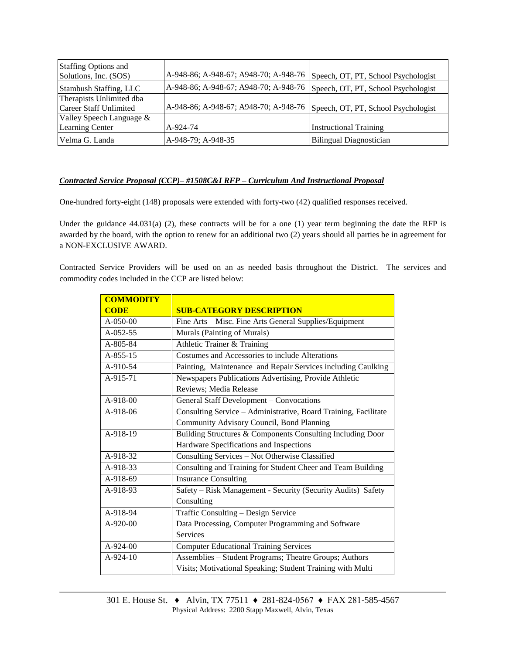| <b>Staffing Options and</b><br>Solutions, Inc. (SOS) | A-948-86; A-948-67; A948-70; A-948-76 | Speech, OT, PT, School Psychologist |
|------------------------------------------------------|---------------------------------------|-------------------------------------|
| Stambush Staffing, LLC                               | A-948-86; A-948-67; A948-70; A-948-76 | Speech, OT, PT, School Psychologist |
| Therapists Unlimited dba                             |                                       |                                     |
| Career Staff Unlimited                               | A-948-86; A-948-67; A948-70; A-948-76 | Speech, OT, PT, School Psychologist |
| Valley Speech Language $\&$                          |                                       |                                     |
| <b>Learning Center</b>                               | A-924-74                              | <b>Instructional Training</b>       |
| Velma G. Landa                                       | A-948-79; A-948-35                    | <b>Bilingual Diagnostician</b>      |

## *Contracted Service Proposal (CCP)– #1508C&I RFP – Curriculum And Instructional Proposal*

One-hundred forty-eight (148) proposals were extended with forty-two (42) qualified responses received.

Under the guidance  $44.031(a)$  (2), these contracts will be for a one (1) year term beginning the date the RFP is awarded by the board, with the option to renew for an additional two (2) years should all parties be in agreement for a NON-EXCLUSIVE AWARD.

Contracted Service Providers will be used on an as needed basis throughout the District. The services and commodity codes included in the CCP are listed below:

| <b>COMMODITY</b> |                                                                 |  |
|------------------|-----------------------------------------------------------------|--|
| <b>CODE</b>      | <b>SUB-CATEGORY DESCRIPTION</b>                                 |  |
| $A - 0.50 - 0.0$ | Fine Arts - Misc. Fine Arts General Supplies/Equipment          |  |
| A-052-55         | Murals (Painting of Murals)                                     |  |
| A-805-84         | Athletic Trainer & Training                                     |  |
| A-855-15         | Costumes and Accessories to include Alterations                 |  |
| A-910-54         | Painting, Maintenance and Repair Services including Caulking    |  |
| A-915-71         | Newspapers Publications Advertising, Provide Athletic           |  |
|                  | Reviews; Media Release                                          |  |
| A-918-00         | General Staff Development - Convocations                        |  |
| A-918-06         | Consulting Service - Administrative, Board Training, Facilitate |  |
|                  | Community Advisory Council, Bond Planning                       |  |
| A-918-19         | Building Structures & Components Consulting Including Door      |  |
|                  | Hardware Specifications and Inspections                         |  |
| A-918-32         | Consulting Services - Not Otherwise Classified                  |  |
| A-918-33         | Consulting and Training for Student Cheer and Team Building     |  |
| A-918-69         | <b>Insurance Consulting</b>                                     |  |
| A-918-93         | Safety - Risk Management - Security (Security Audits) Safety    |  |
|                  | Consulting                                                      |  |
| A-918-94         | Traffic Consulting - Design Service                             |  |
| $A-920-00$       | Data Processing, Computer Programming and Software              |  |
|                  | <b>Services</b>                                                 |  |
| A-924-00         | <b>Computer Educational Training Services</b>                   |  |
| $A-924-10$       | Assemblies - Student Programs; Theatre Groups; Authors          |  |
|                  | Visits; Motivational Speaking; Student Training with Multi      |  |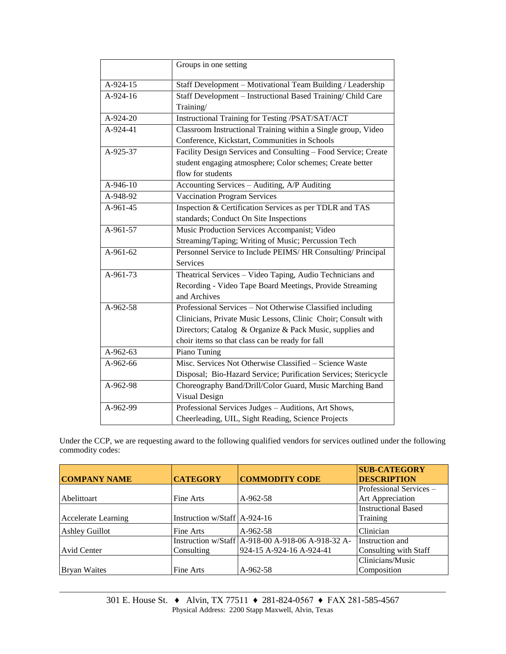|            | Groups in one setting                                           |  |  |
|------------|-----------------------------------------------------------------|--|--|
| A-924-15   | Staff Development - Motivational Team Building / Leadership     |  |  |
| A-924-16   | Staff Development - Instructional Based Training/ Child Care    |  |  |
|            | Training/                                                       |  |  |
| A-924-20   | Instructional Training for Testing /PSAT/SAT/ACT                |  |  |
| A-924-41   | Classroom Instructional Training within a Single group, Video   |  |  |
|            | Conference, Kickstart, Communities in Schools                   |  |  |
| A-925-37   | Facility Design Services and Consulting - Food Service; Create  |  |  |
|            | student engaging atmosphere; Color schemes; Create better       |  |  |
|            | flow for students                                               |  |  |
| A-946-10   | Accounting Services - Auditing, A/P Auditing                    |  |  |
| A-948-92   | <b>Vaccination Program Services</b>                             |  |  |
| $A-961-45$ | Inspection & Certification Services as per TDLR and TAS         |  |  |
|            | standards; Conduct On Site Inspections                          |  |  |
| A-961-57   | Music Production Services Accompanist; Video                    |  |  |
|            | Streaming/Taping; Writing of Music; Percussion Tech             |  |  |
| $A-961-62$ | Personnel Service to Include PEIMS/ HR Consulting/ Principal    |  |  |
|            | Services                                                        |  |  |
| A-961-73   | Theatrical Services - Video Taping, Audio Technicians and       |  |  |
|            | Recording - Video Tape Board Meetings, Provide Streaming        |  |  |
|            | and Archives                                                    |  |  |
| A-962-58   | Professional Services - Not Otherwise Classified including      |  |  |
|            | Clinicians, Private Music Lessons, Clinic Choir; Consult with   |  |  |
|            | Directors; Catalog & Organize & Pack Music, supplies and        |  |  |
|            | choir items so that class can be ready for fall                 |  |  |
| $A-962-63$ | Piano Tuning                                                    |  |  |
| A-962-66   | Misc. Services Not Otherwise Classified - Science Waste         |  |  |
|            | Disposal; Bio-Hazard Service; Purification Services; Stericycle |  |  |
| A-962-98   | Choreography Band/Drill/Color Guard, Music Marching Band        |  |  |
|            | Visual Design                                                   |  |  |
| A-962-99   | Professional Services Judges - Auditions, Art Shows,            |  |  |
|            | Cheerleading, UIL, Sight Reading, Science Projects              |  |  |

Under the CCP, we are requesting award to the following qualified vendors for services outlined under the following commodity codes:

| <b>COMPANY NAME</b>        | <b>CATEGORY</b>                | <b>COMMODITY CODE</b>                             | <b>SUB-CATEGORY</b><br><b>DESCRIPTION</b> |
|----------------------------|--------------------------------|---------------------------------------------------|-------------------------------------------|
|                            |                                |                                                   | Professional Services -                   |
| Abelittoart                | Fine Arts                      | $A-962-58$                                        | Art Appreciation                          |
|                            |                                |                                                   | <b>Instructional Based</b>                |
| <b>Accelerate Learning</b> | Instruction w/Staff $A-924-16$ |                                                   | Training                                  |
| <b>Ashley Guillot</b>      | Fine Arts                      | $A-962-58$                                        | Clinician                                 |
|                            |                                | Instruction w/Staff A-918-00 A-918-06 A-918-32 A- | Instruction and                           |
| <b>Avid Center</b>         | Consulting                     | 924-15 A-924-16 A-924-41                          | Consulting with Staff                     |
|                            |                                |                                                   | Clinicians/Music                          |
| <b>Bryan Waites</b>        | Fine Arts                      | A-962-58                                          | Composition                               |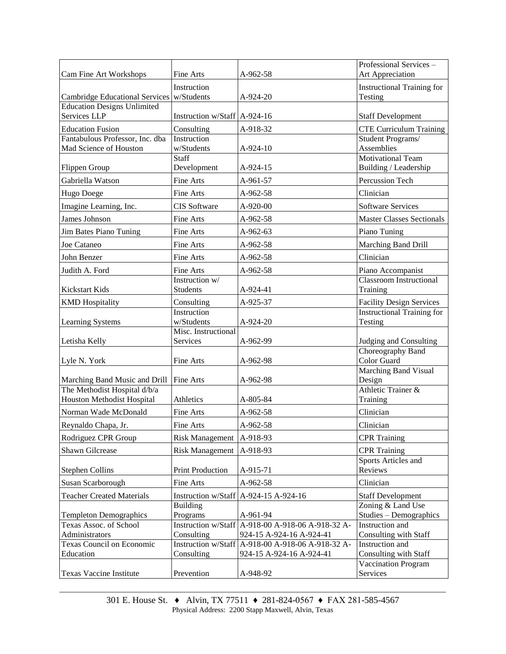|                                             |                                |                                                   | Professional Services -                           |
|---------------------------------------------|--------------------------------|---------------------------------------------------|---------------------------------------------------|
| Cam Fine Art Workshops                      | Fine Arts                      | A-962-58                                          | Art Appreciation                                  |
|                                             | Instruction                    |                                                   | <b>Instructional Training for</b>                 |
| Cambridge Educational Services   w/Students |                                | $A-924-20$                                        | Testing                                           |
| <b>Education Designs Unlimited</b>          |                                |                                                   |                                                   |
| <b>Services LLP</b>                         | Instruction w/Staff   A-924-16 |                                                   | <b>Staff Development</b>                          |
| <b>Education Fusion</b>                     | Consulting                     | A-918-32                                          | <b>CTE Curriculum Training</b>                    |
| Fantabulous Professor, Inc. dba             | Instruction                    |                                                   | Student Programs/                                 |
| Mad Science of Houston                      | w/Students                     | A-924-10                                          | Assemblies                                        |
| Flippen Group                               | Staff<br>Development           | A-924-15                                          | <b>Motivational Team</b><br>Building / Leadership |
| Gabriella Watson                            | Fine Arts                      | A-961-57                                          | Percussion Tech                                   |
| Hugo Doege                                  | Fine Arts                      | A-962-58                                          | Clinician                                         |
| Imagine Learning, Inc.                      | <b>CIS</b> Software            | A-920-00                                          | <b>Software Services</b>                          |
| James Johnson                               | Fine Arts                      | A-962-58                                          | <b>Master Classes Sectionals</b>                  |
| Jim Bates Piano Tuning                      | Fine Arts                      | A-962-63                                          | Piano Tuning                                      |
| Joe Cataneo                                 | Fine Arts                      | A-962-58                                          | Marching Band Drill                               |
|                                             |                                |                                                   |                                                   |
| John Benzer                                 | Fine Arts                      | A-962-58                                          | Clinician                                         |
| Judith A. Ford                              | Fine Arts                      | A-962-58                                          | Piano Accompanist                                 |
|                                             | Instruction w/                 |                                                   | <b>Classroom Instructional</b>                    |
| <b>Kickstart Kids</b>                       | <b>Students</b>                | A-924-41                                          | Training                                          |
| <b>KMD</b> Hospitality                      | Consulting                     | A-925-37                                          | <b>Facility Design Services</b>                   |
|                                             | Instruction<br>w/Students      |                                                   | <b>Instructional Training for</b>                 |
| Learning Systems                            | Misc. Instructional            | A-924-20                                          | Testing                                           |
| Letisha Kelly                               | Services                       | A-962-99                                          | Judging and Consulting                            |
|                                             |                                |                                                   | Choreography Band                                 |
| Lyle N. York                                | Fine Arts                      | A-962-98                                          | Color Guard                                       |
|                                             |                                |                                                   | <b>Marching Band Visual</b>                       |
| Marching Band Music and Drill               | Fine Arts                      | A-962-98                                          | Design                                            |
| The Methodist Hospital d/b/a                |                                |                                                   | Athletic Trainer &                                |
| Houston Methodist Hospital                  | Athletics                      | A-805-84                                          | Training                                          |
| Norman Wade McDonald                        | Fine Arts                      | A-962-58                                          | Clinician                                         |
| Reynaldo Chapa, Jr.                         | Fine Arts                      | A-962-58                                          | Clinician                                         |
| Rodriguez CPR Group                         | Risk Management   A-918-93     |                                                   | <b>CPR</b> Training                               |
| <b>Shawn Gilcrease</b>                      | <b>Risk Management</b>         | A-918-93                                          | <b>CPR</b> Training                               |
| <b>Stephen Collins</b>                      | <b>Print Production</b>        | A-915-71                                          | Sports Articles and<br>Reviews                    |
| Susan Scarborough                           | Fine Arts                      | A-962-58                                          | Clinician                                         |
| <b>Teacher Created Materials</b>            |                                | Instruction w/Staff $A-924-15 A-924-16$           | <b>Staff Development</b>                          |
|                                             | <b>Building</b>                |                                                   | Zoning & Land Use                                 |
| <b>Templeton Demographics</b>               | Programs                       | A-961-94                                          | Studies - Demographics                            |
| Texas Assoc. of School                      |                                | Instruction w/Staff A-918-00 A-918-06 A-918-32 A- | Instruction and                                   |
| Administrators                              | Consulting                     | 924-15 A-924-16 A-924-41                          | Consulting with Staff                             |
| Texas Council on Economic<br>Education      |                                | Instruction w/Staff A-918-00 A-918-06 A-918-32 A- | Instruction and                                   |
|                                             | Consulting                     | 924-15 A-924-16 A-924-41                          | Consulting with Staff<br>Vaccination Program      |
| Texas Vaccine Institute                     | Prevention                     | A-948-92                                          | Services                                          |
|                                             |                                |                                                   |                                                   |